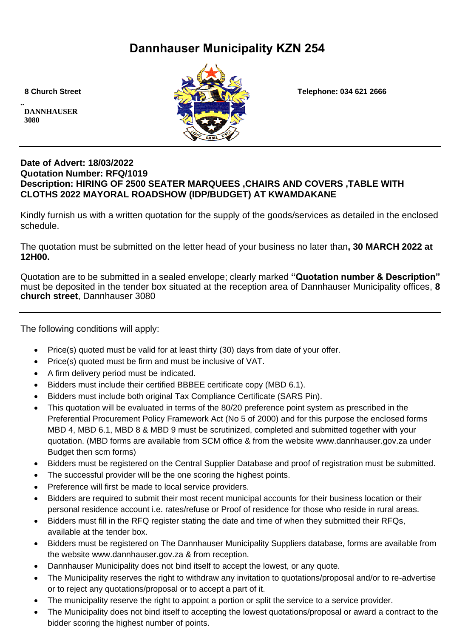# **Dannhauser Municipality KZN 254**

**.. DANNHAUSER 3080** 



 **8 Church Street Telephone: 034 621 2666**

## **Date of Advert: 18/03/2022 Quotation Number: RFQ/1019 Description: HIRING OF 2500 SEATER MARQUEES ,CHAIRS AND COVERS ,TABLE WITH CLOTHS 2022 MAYORAL ROADSHOW (IDP/BUDGET) AT KWAMDAKANE**

Kindly furnish us with a written quotation for the supply of the goods/services as detailed in the enclosed schedule.

The quotation must be submitted on the letter head of your business no later than**, 30 MARCH 2022 at 12H00.**

Quotation are to be submitted in a sealed envelope; clearly marked **"Quotation number & Description"** must be deposited in the tender box situated at the reception area of Dannhauser Municipality offices, **8 church street**, Dannhauser 3080

The following conditions will apply:

- Price(s) quoted must be valid for at least thirty (30) days from date of your offer.
- Price(s) quoted must be firm and must be inclusive of VAT.
- A firm delivery period must be indicated.
- Bidders must include their certified BBBEE certificate copy (MBD 6.1).
- Bidders must include both original Tax Compliance Certificate (SARS Pin).
- This quotation will be evaluated in terms of the 80/20 preference point system as prescribed in the Preferential Procurement Policy Framework Act (No 5 of 2000) and for this purpose the enclosed forms MBD 4, MBD 6.1, MBD 8 & MBD 9 must be scrutinized, completed and submitted together with your quotation. (MBD forms are available from SCM office & from the website www.dannhauser.gov.za under Budget then scm forms)
- Bidders must be registered on the Central Supplier Database and proof of registration must be submitted.
- The successful provider will be the one scoring the highest points.
- Preference will first be made to local service providers.
- Bidders are required to submit their most recent municipal accounts for their business location or their personal residence account i.e. rates/refuse or Proof of residence for those who reside in rural areas.
- Bidders must fill in the RFQ register stating the date and time of when they submitted their RFQs, available at the tender box.
- Bidders must be registered on The Dannhauser Municipality Suppliers database, forms are available from the website www.dannhauser.gov.za & from reception.
- Dannhauser Municipality does not bind itself to accept the lowest, or any quote.
- The Municipality reserves the right to withdraw any invitation to quotations/proposal and/or to re-advertise or to reject any quotations/proposal or to accept a part of it.
- The municipality reserve the right to appoint a portion or split the service to a service provider.
- The Municipality does not bind itself to accepting the lowest quotations/proposal or award a contract to the bidder scoring the highest number of points.